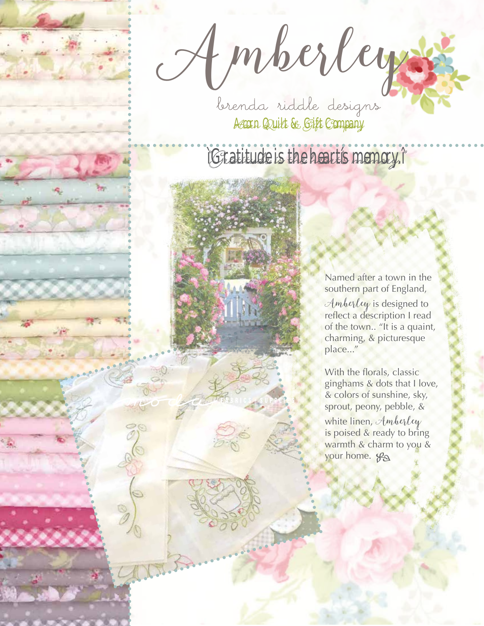Amberleys

Acorn Quilt & Gift Company

## ìGratitude is the heartís memory.î

Named after a town in the southern part of England, Amberley is designed to reflect a description I read of the town.. "It is a quaint, charming, & picturesque place..."

With the florals, classic ginghams & dots that I love, & colors of sunshine, sky, sprout, peony, pebble, & white linen,  $\mathcal{A}$ mberley is poised & ready to bring warmth & charm to you & your home.  $\mathcal{G}_{\Omega}$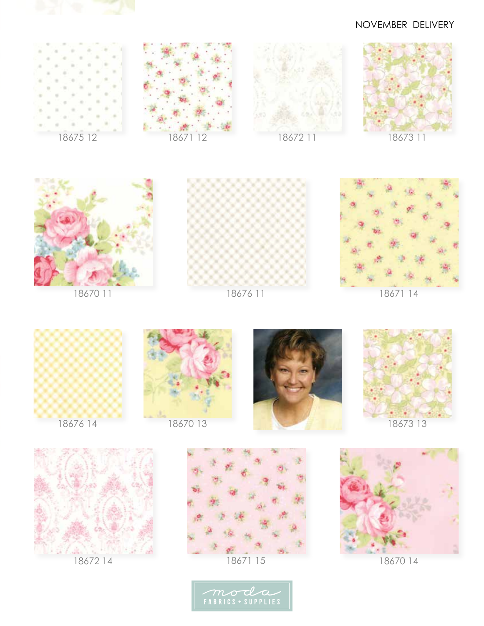

## NOVEMBER DELIVERY































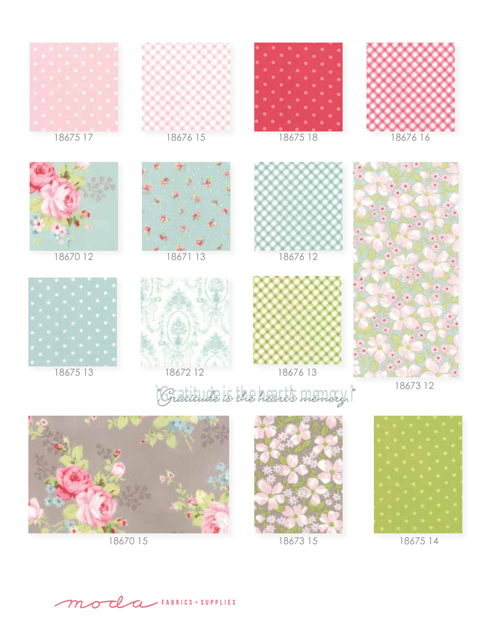

18675 13

1867212

18676 13

"Gratitude is the heart's memory."

18673 12



18670 15



18673 15



18675 14